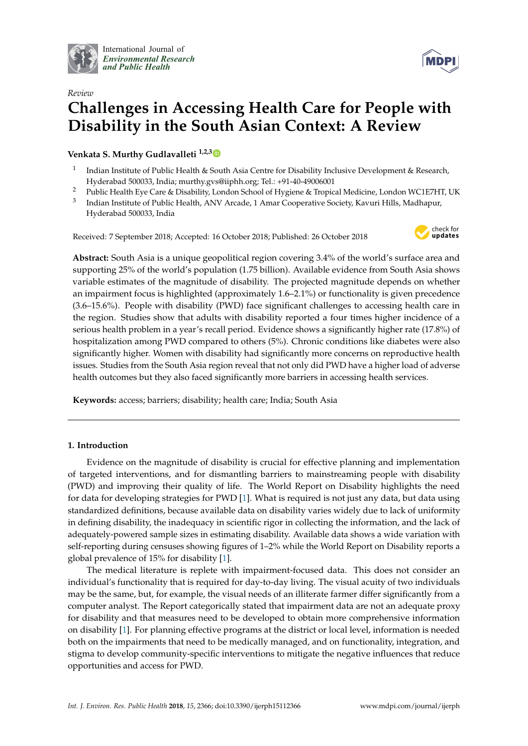

International Journal of *[Environmental Research](http://www.mdpi.com/journal/ijerph) and Public Health*



# *Review* **Challenges in Accessing Health Care for People with Disability in the South Asian Context: A Review**

**Venkata S. Murthy Gudlavalleti 1,2,[3](https://orcid.org/0000-0002-5695-866X)**

- 1 Indian Institute of Public Health & South Asia Centre for Disability Inclusive Development & Research, Hyderabad 500033, India; murthy.gvs@iiphh.org; Tel.: +91-40-49006001
- <sup>2</sup> Public Health Eye Care & Disability, London School of Hygiene & Tropical Medicine, London WC1E7HT, UK
- 3 Indian Institute of Public Health, ANV Arcade, 1 Amar Cooperative Society, Kavuri Hills, Madhapur, Hyderabad 500033, India

Received: 7 September 2018; Accepted: 16 October 2018; Published: 26 October 2018



**Abstract:** South Asia is a unique geopolitical region covering 3.4% of the world's surface area and supporting 25% of the world's population (1.75 billion). Available evidence from South Asia shows variable estimates of the magnitude of disability. The projected magnitude depends on whether an impairment focus is highlighted (approximately 1.6–2.1%) or functionality is given precedence (3.6–15.6%). People with disability (PWD) face significant challenges to accessing health care in the region. Studies show that adults with disability reported a four times higher incidence of a serious health problem in a year's recall period. Evidence shows a significantly higher rate (17.8%) of hospitalization among PWD compared to others (5%). Chronic conditions like diabetes were also significantly higher. Women with disability had significantly more concerns on reproductive health issues. Studies from the South Asia region reveal that not only did PWD have a higher load of adverse health outcomes but they also faced significantly more barriers in accessing health services.

**Keywords:** access; barriers; disability; health care; India; South Asia

## **1. Introduction**

Evidence on the magnitude of disability is crucial for effective planning and implementation of targeted interventions, and for dismantling barriers to mainstreaming people with disability (PWD) and improving their quality of life. The World Report on Disability highlights the need for data for developing strategies for PWD [\[1\]](#page-7-0). What is required is not just any data, but data using standardized definitions, because available data on disability varies widely due to lack of uniformity in defining disability, the inadequacy in scientific rigor in collecting the information, and the lack of adequately-powered sample sizes in estimating disability. Available data shows a wide variation with self-reporting during censuses showing figures of 1–2% while the World Report on Disability reports a global prevalence of 15% for disability [\[1\]](#page-7-0).

The medical literature is replete with impairment-focused data. This does not consider an individual's functionality that is required for day-to-day living. The visual acuity of two individuals may be the same, but, for example, the visual needs of an illiterate farmer differ significantly from a computer analyst. The Report categorically stated that impairment data are not an adequate proxy for disability and that measures need to be developed to obtain more comprehensive information on disability [\[1\]](#page-7-0). For planning effective programs at the district or local level, information is needed both on the impairments that need to be medically managed, and on functionality, integration, and stigma to develop community-specific interventions to mitigate the negative influences that reduce opportunities and access for PWD.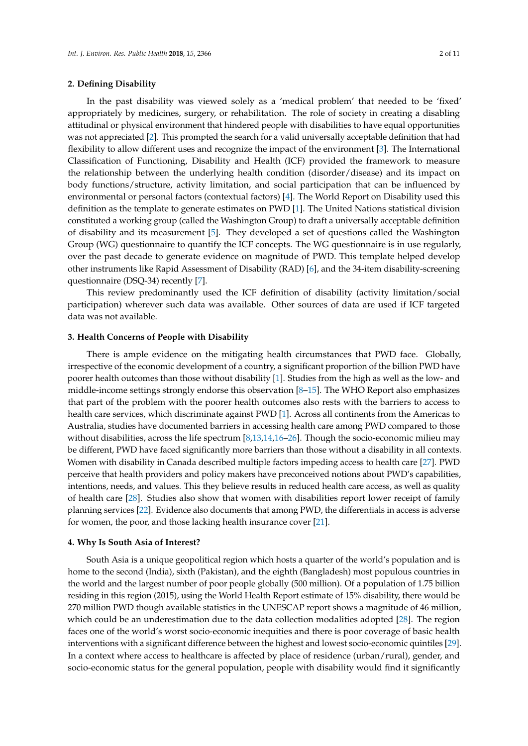#### **2. Defining Disability**

In the past disability was viewed solely as a 'medical problem' that needed to be 'fixed' appropriately by medicines, surgery, or rehabilitation. The role of society in creating a disabling attitudinal or physical environment that hindered people with disabilities to have equal opportunities was not appreciated [\[2\]](#page-7-1). This prompted the search for a valid universally acceptable definition that had flexibility to allow different uses and recognize the impact of the environment [\[3\]](#page-7-2). The International Classification of Functioning, Disability and Health (ICF) provided the framework to measure the relationship between the underlying health condition (disorder/disease) and its impact on body functions/structure, activity limitation, and social participation that can be influenced by environmental or personal factors (contextual factors) [\[4\]](#page-7-3). The World Report on Disability used this definition as the template to generate estimates on PWD [\[1\]](#page-7-0). The United Nations statistical division constituted a working group (called the Washington Group) to draft a universally acceptable definition of disability and its measurement [\[5\]](#page-7-4). They developed a set of questions called the Washington Group (WG) questionnaire to quantify the ICF concepts. The WG questionnaire is in use regularly, over the past decade to generate evidence on magnitude of PWD. This template helped develop other instruments like Rapid Assessment of Disability (RAD) [\[6\]](#page-7-5), and the 34-item disability-screening questionnaire (DSQ-34) recently [\[7\]](#page-7-6).

This review predominantly used the ICF definition of disability (activity limitation/social participation) wherever such data was available. Other sources of data are used if ICF targeted data was not available.

#### **3. Health Concerns of People with Disability**

There is ample evidence on the mitigating health circumstances that PWD face. Globally, irrespective of the economic development of a country, a significant proportion of the billion PWD have poorer health outcomes than those without disability [\[1\]](#page-7-0). Studies from the high as well as the low- and middle-income settings strongly endorse this observation [\[8](#page-8-0)[–15\]](#page-8-1). The WHO Report also emphasizes that part of the problem with the poorer health outcomes also rests with the barriers to access to health care services, which discriminate against PWD [\[1\]](#page-7-0). Across all continents from the Americas to Australia, studies have documented barriers in accessing health care among PWD compared to those without disabilities, across the life spectrum [\[8](#page-8-0)[,13](#page-8-2)[,14,](#page-8-3)[16–](#page-8-4)[26\]](#page-8-5). Though the socio-economic milieu may be different, PWD have faced significantly more barriers than those without a disability in all contexts. Women with disability in Canada described multiple factors impeding access to health care [\[27\]](#page-9-0). PWD perceive that health providers and policy makers have preconceived notions about PWD's capabilities, intentions, needs, and values. This they believe results in reduced health care access, as well as quality of health care [\[28\]](#page-9-1). Studies also show that women with disabilities report lower receipt of family planning services [\[22\]](#page-8-6). Evidence also documents that among PWD, the differentials in access is adverse for women, the poor, and those lacking health insurance cover [\[21\]](#page-8-7).

#### **4. Why Is South Asia of Interest?**

South Asia is a unique geopolitical region which hosts a quarter of the world's population and is home to the second (India), sixth (Pakistan), and the eighth (Bangladesh) most populous countries in the world and the largest number of poor people globally (500 million). Of a population of 1.75 billion residing in this region (2015), using the World Health Report estimate of 15% disability, there would be 270 million PWD though available statistics in the UNESCAP report shows a magnitude of 46 million, which could be an underestimation due to the data collection modalities adopted [\[28\]](#page-9-1). The region faces one of the world's worst socio-economic inequities and there is poor coverage of basic health interventions with a significant difference between the highest and lowest socio-economic quintiles [\[29\]](#page-9-2). In a context where access to healthcare is affected by place of residence (urban/rural), gender, and socio-economic status for the general population, people with disability would find it significantly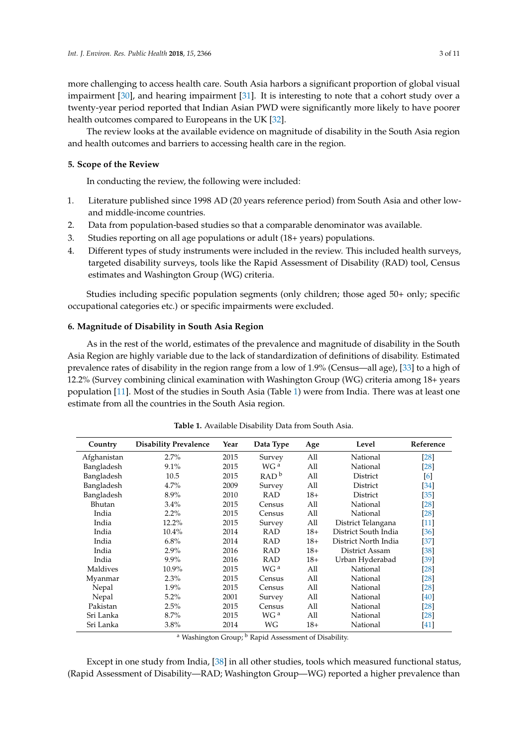more challenging to access health care. South Asia harbors a significant proportion of global visual impairment [\[30\]](#page-9-3), and hearing impairment [\[31\]](#page-9-4). It is interesting to note that a cohort study over a twenty-year period reported that Indian Asian PWD were significantly more likely to have poorer health outcomes compared to Europeans in the UK [\[32\]](#page-9-5).

The review looks at the available evidence on magnitude of disability in the South Asia region and health outcomes and barriers to accessing health care in the region.

#### **5. Scope of the Review**

In conducting the review, the following were included:

- 1. Literature published since 1998 AD (20 years reference period) from South Asia and other lowand middle-income countries.
- 2. Data from population-based studies so that a comparable denominator was available.
- 3. Studies reporting on all age populations or adult (18+ years) populations.
- 4. Different types of study instruments were included in the review. This included health surveys, targeted disability surveys, tools like the Rapid Assessment of Disability (RAD) tool, Census estimates and Washington Group (WG) criteria.

Studies including specific population segments (only children; those aged 50+ only; specific occupational categories etc.) or specific impairments were excluded.

## **6. Magnitude of Disability in South Asia Region**

As in the rest of the world, estimates of the prevalence and magnitude of disability in the South Asia Region are highly variable due to the lack of standardization of definitions of disability. Estimated prevalence rates of disability in the region range from a low of 1.9% (Census—all age), [\[33\]](#page-9-6) to a high of 12.2% (Survey combining clinical examination with Washington Group (WG) criteria among 18+ years population [\[11\]](#page-8-8). Most of the studies in South Asia (Table [1\)](#page-2-0) were from India. There was at least one estimate from all the countries in the South Asia region.

<span id="page-2-0"></span>

| Country     | <b>Disability Prevalence</b>                        | Year                              | Data Type       | Age               | Level                | Reference          |
|-------------|-----------------------------------------------------|-----------------------------------|-----------------|-------------------|----------------------|--------------------|
| Afghanistan | 2.7%                                                | All<br>2015<br>National<br>Survey |                 | $[28]$            |                      |                    |
| Bangladesh  | 9.1%                                                | 2015                              | WG <sup>a</sup> | All               | National             | $[28]$             |
| Bangladesh  | RAD <sup>b</sup><br>All<br>10.5<br>2015<br>District |                                   | [6]             |                   |                      |                    |
| Bangladesh  | $4.7\%$                                             | All<br>2009<br>District<br>Survey |                 | [34]              |                      |                    |
| Bangladesh  | 8.9%                                                | 2010                              | <b>RAD</b>      | $18+$<br>District |                      | $\left[35\right]$  |
| Bhutan      | $3.4\%$                                             | 2015                              | Census          | All               | National             | $[28]$             |
| India       | $2.2\%$                                             | 2015                              | Census          | All               | National             | $[28]$             |
| India       | 12.2%                                               | 2015                              | Survey          | All               | District Telangana   | $[11]$             |
| India       | $10.4\%$                                            | 2014                              | RAD             | $18+$             | District South India | [36]               |
| India       | 6.8%                                                | 2014                              | <b>RAD</b>      | $18+$             | District North India | [37]               |
| India       | 2.9%                                                | 2016                              | <b>RAD</b>      | $18+$             | District Assam       | $[38]$             |
| India       | $9.9\%$                                             | 2016                              | RAD             | $18+$             | Urban Hyderabad      | [39]               |
| Maldives    | 10.9%                                               | 2015                              | WG <sup>a</sup> | All               | National             | $[28]$             |
| Myanmar     | 2.3%                                                | 2015                              | Census          | All               | National             | $[28]$             |
| Nepal       | $1.9\%$                                             | 2015                              | Census          | All               | National             | $[28]$             |
| Nepal       | $5.2\%$                                             | 2001                              | Survey          | All               | National             | [40]               |
| Pakistan    | 2.5%                                                | 2015                              | Census          | All               | National             | $\lceil 28 \rceil$ |
| Sri Lanka   | 8.7%                                                | 2015                              | WG <sup>a</sup> | All               | National             | $[28]$             |
| Sri Lanka   | $3.8\%$                                             | 2014                              | WG              | $18+$             | National             | [41]               |

**Table 1.** Available Disability Data from South Asia.

<sup>a</sup> Washington Group; <sup>b</sup> Rapid Assessment of Disability.

Except in one study from India, [\[38\]](#page-9-11) in all other studies, tools which measured functional status, (Rapid Assessment of Disability—RAD; Washington Group—WG) reported a higher prevalence than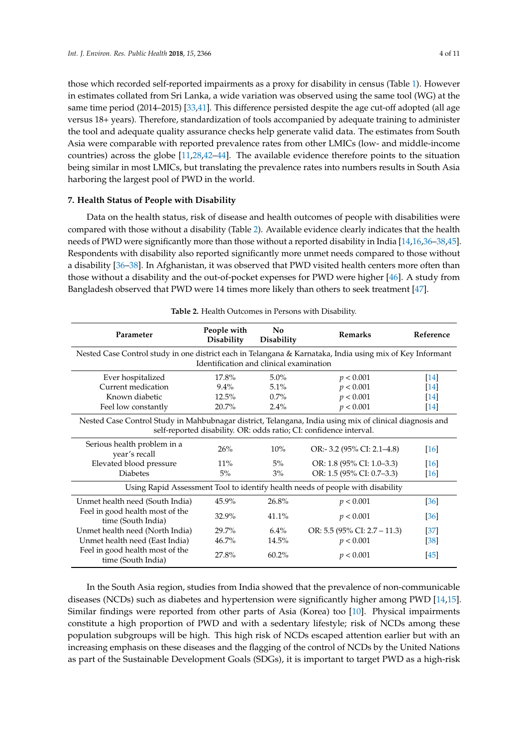those which recorded self-reported impairments as a proxy for disability in census (Table [1\)](#page-2-0). However in estimates collated from Sri Lanka, a wide variation was observed using the same tool (WG) at the same time period (2014–2015) [\[33,](#page-9-6)[41\]](#page-9-14). This difference persisted despite the age cut-off adopted (all age versus 18+ years). Therefore, standardization of tools accompanied by adequate training to administer the tool and adequate quality assurance checks help generate valid data. The estimates from South Asia were comparable with reported prevalence rates from other LMICs (low- and middle-income countries) across the globe [\[11](#page-8-8)[,28](#page-9-1)[,42–](#page-9-15)[44\]](#page-9-16). The available evidence therefore points to the situation being similar in most LMICs, but translating the prevalence rates into numbers results in South Asia harboring the largest pool of PWD in the world.

#### **7. Health Status of People with Disability**

Data on the health status, risk of disease and health outcomes of people with disabilities were compared with those without a disability (Table [2\)](#page-3-0). Available evidence clearly indicates that the health needs of PWD were significantly more than those without a reported disability in India [\[14,](#page-8-3)[16,](#page-8-4)[36–](#page-9-9)[38](#page-9-11)[,45\]](#page-9-17). Respondents with disability also reported significantly more unmet needs compared to those without a disability [\[36–](#page-9-9)[38\]](#page-9-11). In Afghanistan, it was observed that PWD visited health centers more often than those without a disability and the out-of-pocket expenses for PWD were higher [\[46\]](#page-9-18). A study from Bangladesh observed that PWD were 14 times more likely than others to seek treatment [\[47\]](#page-10-0).

<span id="page-3-0"></span>

| Parameter                                                                                                                                                                     | People with<br><b>Disability</b> | N <sub>0</sub><br>Disability | <b>Remarks</b>                  | Reference          |  |  |  |  |
|-------------------------------------------------------------------------------------------------------------------------------------------------------------------------------|----------------------------------|------------------------------|---------------------------------|--------------------|--|--|--|--|
| Nested Case Control study in one district each in Telangana & Karnataka, India using mix of Key Informant                                                                     |                                  |                              |                                 |                    |  |  |  |  |
| Identification and clinical examination                                                                                                                                       |                                  |                              |                                 |                    |  |  |  |  |
| Ever hospitalized                                                                                                                                                             | 17.8%                            | $5.0\%$                      | p < 0.001                       | $[14]$             |  |  |  |  |
| Current medication                                                                                                                                                            | $9.4\%$                          | 5.1%                         | p < 0.001                       | $[14]$             |  |  |  |  |
| Known diabetic                                                                                                                                                                | $12.5\%$                         | 0.7%                         | p < 0.001                       | $[14]$             |  |  |  |  |
| Feel low constantly                                                                                                                                                           | 20.7%                            | 2.4%                         | p < 0.001                       | $[14]$             |  |  |  |  |
| Nested Case Control Study in Mahbubnagar district, Telangana, India using mix of clinical diagnosis and<br>self-reported disability. OR: odds ratio; CI: confidence interval. |                                  |                              |                                 |                    |  |  |  |  |
| Serious health problem in a<br>year's recall                                                                                                                                  | 26%                              | $10\%$                       | OR:- 3.2 $(95\%$ CI: 2.1–4.8)   | $\lceil 16 \rceil$ |  |  |  |  |
| Elevated blood pressure                                                                                                                                                       | $11\%$                           | $5\%$                        | OR: 1.8 (95% CI: 1.0–3.3)       | $[16]$             |  |  |  |  |
| <b>Diabetes</b>                                                                                                                                                               | 5%                               | $3\%$                        | OR: 1.5 (95% CI: 0.7–3.3)       | [16]               |  |  |  |  |
| Using Rapid Assessment Tool to identify health needs of people with disability                                                                                                |                                  |                              |                                 |                    |  |  |  |  |
| Unmet health need (South India)                                                                                                                                               | 45.9%                            | 26.8%                        | p < 0.001                       | $\left[36\right]$  |  |  |  |  |
| Feel in good health most of the<br>time (South India)                                                                                                                         | 32.9%                            | 41.1%                        | p < 0.001                       | $\left[36\right]$  |  |  |  |  |
| Unmet health need (North India)                                                                                                                                               | 29.7%                            | $6.4\%$                      | OR: 5.5 (95% CI: $2.7 - 11.3$ ) | $[37]$             |  |  |  |  |
| Unmet health need (East India)                                                                                                                                                | $46.7\%$                         | 14.5%                        | p < 0.001                       | $\left[38\right]$  |  |  |  |  |
| Feel in good health most of the<br>time (South India)                                                                                                                         | 27.8%                            | $60.2\%$                     | p < 0.001                       | [45]               |  |  |  |  |

**Table 2.** Health Outcomes in Persons with Disability.

In the South Asia region, studies from India showed that the prevalence of non-communicable diseases (NCDs) such as diabetes and hypertension were significantly higher among PWD [\[14,](#page-8-3)[15\]](#page-8-1). Similar findings were reported from other parts of Asia (Korea) too [\[10\]](#page-8-9). Physical impairments constitute a high proportion of PWD and with a sedentary lifestyle; risk of NCDs among these population subgroups will be high. This high risk of NCDs escaped attention earlier but with an increasing emphasis on these diseases and the flagging of the control of NCDs by the United Nations as part of the Sustainable Development Goals (SDGs), it is important to target PWD as a high-risk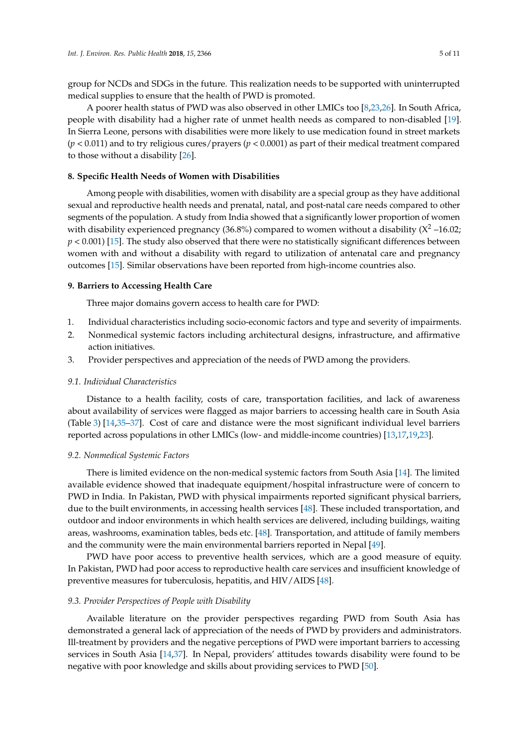group for NCDs and SDGs in the future. This realization needs to be supported with uninterrupted medical supplies to ensure that the health of PWD is promoted.

A poorer health status of PWD was also observed in other LMICs too [\[8](#page-8-0)[,23](#page-8-10)[,26\]](#page-8-5). In South Africa, people with disability had a higher rate of unmet health needs as compared to non-disabled [\[19\]](#page-8-11). In Sierra Leone, persons with disabilities were more likely to use medication found in street markets (*p* < 0.011) and to try religious cures/prayers (*p* < 0.0001) as part of their medical treatment compared to those without a disability [\[26\]](#page-8-5).

# **8. Specific Health Needs of Women with Disabilities**

Among people with disabilities, women with disability are a special group as they have additional sexual and reproductive health needs and prenatal, natal, and post-natal care needs compared to other segments of the population. A study from India showed that a significantly lower proportion of women with disability experienced pregnancy (36.8%) compared to women without a disability  $(X^2 - 16.02)$ ;  $p$  < 0.001) [\[15\]](#page-8-1). The study also observed that there were no statistically significant differences between women with and without a disability with regard to utilization of antenatal care and pregnancy outcomes [\[15\]](#page-8-1). Similar observations have been reported from high-income countries also.

## **9. Barriers to Accessing Health Care**

Three major domains govern access to health care for PWD:

- 1. Individual characteristics including socio-economic factors and type and severity of impairments.
- 2. Nonmedical systemic factors including architectural designs, infrastructure, and affirmative action initiatives.
- 3. Provider perspectives and appreciation of the needs of PWD among the providers.

## *9.1. Individual Characteristics*

Distance to a health facility, costs of care, transportation facilities, and lack of awareness about availability of services were flagged as major barriers to accessing health care in South Asia (Table [3\)](#page-5-0) [\[14](#page-8-3)[,35–](#page-9-8)[37\]](#page-9-10). Cost of care and distance were the most significant individual level barriers reported across populations in other LMICs (low- and middle-income countries) [\[13](#page-8-2)[,17](#page-8-12)[,19](#page-8-11)[,23\]](#page-8-10).

## *9.2. Nonmedical Systemic Factors*

There is limited evidence on the non-medical systemic factors from South Asia [\[14\]](#page-8-3). The limited available evidence showed that inadequate equipment/hospital infrastructure were of concern to PWD in India. In Pakistan, PWD with physical impairments reported significant physical barriers, due to the built environments, in accessing health services [\[48\]](#page-10-1). These included transportation, and outdoor and indoor environments in which health services are delivered, including buildings, waiting areas, washrooms, examination tables, beds etc. [\[48\]](#page-10-1). Transportation, and attitude of family members and the community were the main environmental barriers reported in Nepal [\[49\]](#page-10-2).

PWD have poor access to preventive health services, which are a good measure of equity. In Pakistan, PWD had poor access to reproductive health care services and insufficient knowledge of preventive measures for tuberculosis, hepatitis, and HIV/AIDS [\[48\]](#page-10-1).

## *9.3. Provider Perspectives of People with Disability*

Available literature on the provider perspectives regarding PWD from South Asia has demonstrated a general lack of appreciation of the needs of PWD by providers and administrators. Ill-treatment by providers and the negative perceptions of PWD were important barriers to accessing services in South Asia [\[14,](#page-8-3)[37\]](#page-9-10). In Nepal, providers' attitudes towards disability were found to be negative with poor knowledge and skills about providing services to PWD [\[50\]](#page-10-3).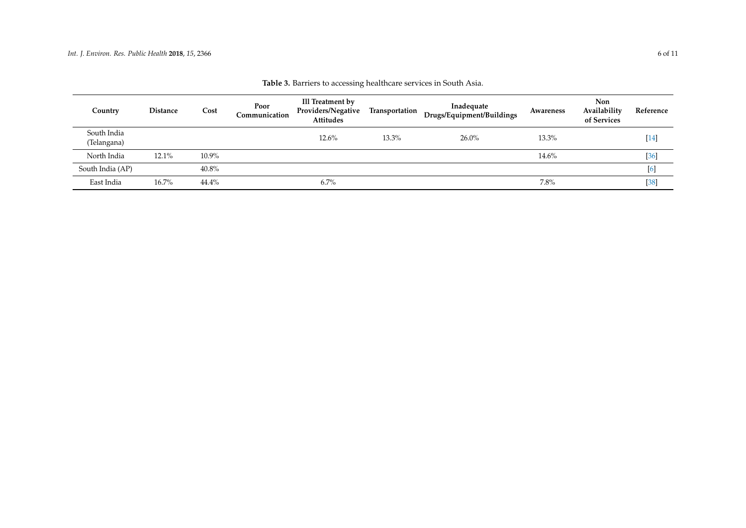<span id="page-5-0"></span>

| Country                    | <b>Distance</b> | Cost     | Poor<br>Communication | Ill Treatment by<br>Providers/Negative<br>Attitudes | Transportation | Inadequate<br>Drugs/Equipment/Buildings | Awareness | <b>Non</b><br>Availability<br>of Services | Reference |
|----------------------------|-----------------|----------|-----------------------|-----------------------------------------------------|----------------|-----------------------------------------|-----------|-------------------------------------------|-----------|
| South India<br>(Telangana) |                 |          |                       | 12.6%                                               | 13.3%          | $26.0\%$                                | 13.3%     |                                           | $[14]$    |
| North India                | $12.1\%$        | $10.9\%$ |                       |                                                     |                |                                         | 14.6%     |                                           | $[36]$    |
| South India (AP)           |                 | 40.8%    |                       |                                                     |                |                                         |           |                                           | [6]       |
| East India                 | $16.7\%$        | $44.4\%$ |                       | 6.7%                                                |                |                                         | 7.8%      |                                           | $[38]$    |

| Table 3. Barriers to accessing healthcare services in South Asia. |  |
|-------------------------------------------------------------------|--|
|-------------------------------------------------------------------|--|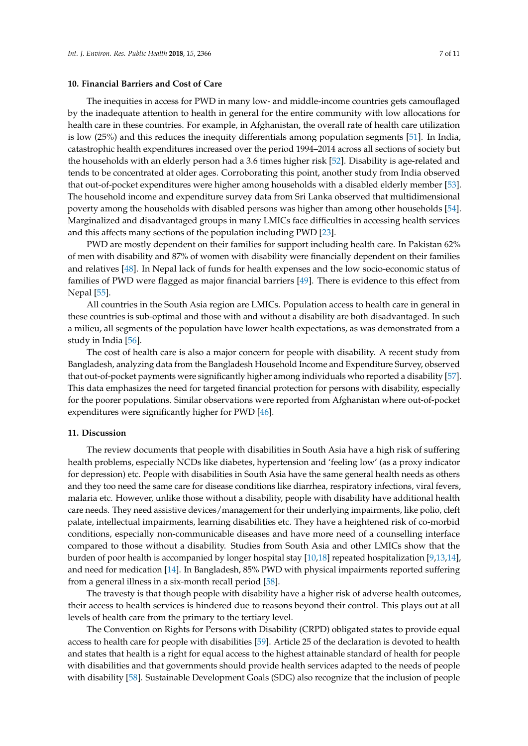#### **10. Financial Barriers and Cost of Care**

The inequities in access for PWD in many low- and middle-income countries gets camouflaged by the inadequate attention to health in general for the entire community with low allocations for health care in these countries. For example, in Afghanistan, the overall rate of health care utilization is low (25%) and this reduces the inequity differentials among population segments [\[51\]](#page-10-4). In India, catastrophic health expenditures increased over the period 1994–2014 across all sections of society but the households with an elderly person had a 3.6 times higher risk [\[52\]](#page-10-5). Disability is age-related and tends to be concentrated at older ages. Corroborating this point, another study from India observed that out-of-pocket expenditures were higher among households with a disabled elderly member [\[53\]](#page-10-6). The household income and expenditure survey data from Sri Lanka observed that multidimensional poverty among the households with disabled persons was higher than among other households [\[54\]](#page-10-7). Marginalized and disadvantaged groups in many LMICs face difficulties in accessing health services and this affects many sections of the population including PWD [\[23\]](#page-8-10).

PWD are mostly dependent on their families for support including health care. In Pakistan 62% of men with disability and 87% of women with disability were financially dependent on their families and relatives [\[48\]](#page-10-1). In Nepal lack of funds for health expenses and the low socio-economic status of families of PWD were flagged as major financial barriers [\[49\]](#page-10-2). There is evidence to this effect from Nepal [\[55\]](#page-10-8).

All countries in the South Asia region are LMICs. Population access to health care in general in these countries is sub-optimal and those with and without a disability are both disadvantaged. In such a milieu, all segments of the population have lower health expectations, as was demonstrated from a study in India [\[56\]](#page-10-9).

The cost of health care is also a major concern for people with disability. A recent study from Bangladesh, analyzing data from the Bangladesh Household Income and Expenditure Survey, observed that out-of-pocket payments were significantly higher among individuals who reported a disability [\[57\]](#page-10-10). This data emphasizes the need for targeted financial protection for persons with disability, especially for the poorer populations. Similar observations were reported from Afghanistan where out-of-pocket expenditures were significantly higher for PWD [\[46\]](#page-9-18).

#### **11. Discussion**

The review documents that people with disabilities in South Asia have a high risk of suffering health problems, especially NCDs like diabetes, hypertension and 'feeling low' (as a proxy indicator for depression) etc. People with disabilities in South Asia have the same general health needs as others and they too need the same care for disease conditions like diarrhea, respiratory infections, viral fevers, malaria etc. However, unlike those without a disability, people with disability have additional health care needs. They need assistive devices/management for their underlying impairments, like polio, cleft palate, intellectual impairments, learning disabilities etc. They have a heightened risk of co-morbid conditions, especially non-communicable diseases and have more need of a counselling interface compared to those without a disability. Studies from South Asia and other LMICs show that the burden of poor health is accompanied by longer hospital stay [\[10](#page-8-9)[,18\]](#page-8-14) repeated hospitalization [\[9](#page-8-15)[,13](#page-8-2)[,14\]](#page-8-3), and need for medication [\[14\]](#page-8-3). In Bangladesh, 85% PWD with physical impairments reported suffering from a general illness in a six-month recall period [\[58\]](#page-10-11).

The travesty is that though people with disability have a higher risk of adverse health outcomes, their access to health services is hindered due to reasons beyond their control. This plays out at all levels of health care from the primary to the tertiary level.

The Convention on Rights for Persons with Disability (CRPD) obligated states to provide equal access to health care for people with disabilities [\[59\]](#page-10-12). Article 25 of the declaration is devoted to health and states that health is a right for equal access to the highest attainable standard of health for people with disabilities and that governments should provide health services adapted to the needs of people with disability [\[58\]](#page-10-11). Sustainable Development Goals (SDG) also recognize that the inclusion of people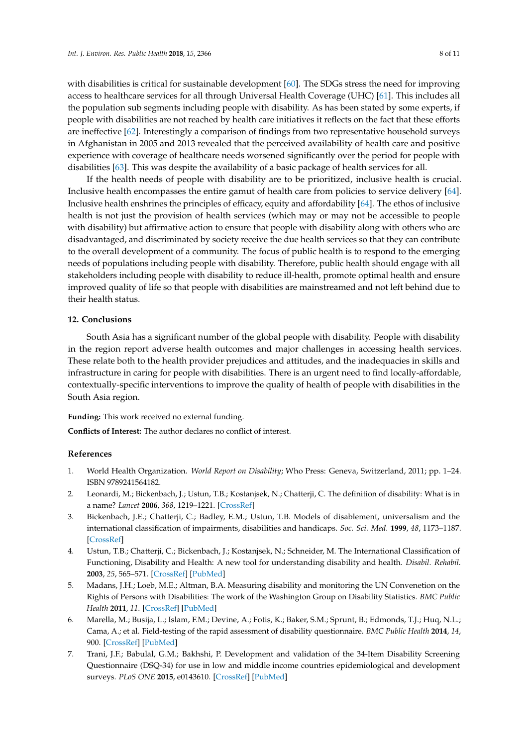with disabilities is critical for sustainable development [\[60\]](#page-10-13). The SDGs stress the need for improving access to healthcare services for all through Universal Health Coverage (UHC) [\[61\]](#page-10-14). This includes all the population sub segments including people with disability. As has been stated by some experts, if people with disabilities are not reached by health care initiatives it reflects on the fact that these efforts are ineffective [\[62\]](#page-10-15). Interestingly a comparison of findings from two representative household surveys in Afghanistan in 2005 and 2013 revealed that the perceived availability of health care and positive experience with coverage of healthcare needs worsened significantly over the period for people with disabilities [\[63\]](#page-10-16). This was despite the availability of a basic package of health services for all.

If the health needs of people with disability are to be prioritized, inclusive health is crucial. Inclusive health encompasses the entire gamut of health care from policies to service delivery [\[64\]](#page-10-17). Inclusive health enshrines the principles of efficacy, equity and affordability [\[64\]](#page-10-17). The ethos of inclusive health is not just the provision of health services (which may or may not be accessible to people with disability) but affirmative action to ensure that people with disability along with others who are disadvantaged, and discriminated by society receive the due health services so that they can contribute to the overall development of a community. The focus of public health is to respond to the emerging needs of populations including people with disability. Therefore, public health should engage with all stakeholders including people with disability to reduce ill-health, promote optimal health and ensure improved quality of life so that people with disabilities are mainstreamed and not left behind due to their health status.

#### **12. Conclusions**

South Asia has a significant number of the global people with disability. People with disability in the region report adverse health outcomes and major challenges in accessing health services. These relate both to the health provider prejudices and attitudes, and the inadequacies in skills and infrastructure in caring for people with disabilities. There is an urgent need to find locally-affordable, contextually-specific interventions to improve the quality of health of people with disabilities in the South Asia region.

<span id="page-7-7"></span>**Funding:** This work received no external funding.

**Conflicts of Interest:** The author declares no conflict of interest.

## **References**

- <span id="page-7-0"></span>1. World Health Organization. *World Report on Disability*; Who Press: Geneva, Switzerland, 2011; pp. 1–24. ISBN 9789241564182.
- <span id="page-7-1"></span>2. Leonardi, M.; Bickenbach, J.; Ustun, T.B.; Kostanjsek, N.; Chatterji, C. The definition of disability: What is in a name? *Lancet* **2006**, *368*, 1219–1221. [\[CrossRef\]](http://dx.doi.org/10.1016/S0140-6736(06)69498-1)
- <span id="page-7-2"></span>3. Bickenbach, J.E.; Chatterji, C.; Badley, E.M.; Ustun, T.B. Models of disablement, universalism and the international classification of impairments, disabilities and handicaps. *Soc. Sci. Med.* **1999**, *48*, 1173–1187. [\[CrossRef\]](http://dx.doi.org/10.1016/S0277-9536(98)00441-9)
- <span id="page-7-3"></span>4. Ustun, T.B.; Chatterji, C.; Bickenbach, J.; Kostanjsek, N.; Schneider, M. The International Classification of Functioning, Disability and Health: A new tool for understanding disability and health. *Disabil. Rehabil.* **2003**, *25*, 565–571. [\[CrossRef\]](http://dx.doi.org/10.1080/0963828031000137063) [\[PubMed\]](http://www.ncbi.nlm.nih.gov/pubmed/12959329)
- <span id="page-7-4"></span>5. Madans, J.H.; Loeb, M.E.; Altman, B.A. Measuring disability and monitoring the UN Convenetion on the Rights of Persons with Disabilities: The work of the Washington Group on Disability Statistics. *BMC Public Health* **2011**, *11*. [\[CrossRef\]](http://dx.doi.org/10.1186/1471-2458-11-S4-S4) [\[PubMed\]](http://www.ncbi.nlm.nih.gov/pubmed/21624190)
- <span id="page-7-5"></span>6. Marella, M.; Busija, L.; Islam, F.M.; Devine, A.; Fotis, K.; Baker, S.M.; Sprunt, B.; Edmonds, T.J.; Huq, N.L.; Cama, A.; et al. Field-testing of the rapid assessment of disability questionnaire. *BMC Public Health* **2014**, *14*, 900. [\[CrossRef\]](http://dx.doi.org/10.1186/1471-2458-14-900) [\[PubMed\]](http://www.ncbi.nlm.nih.gov/pubmed/25179800)
- <span id="page-7-6"></span>7. Trani, J.F.; Babulal, G.M.; Bakhshi, P. Development and validation of the 34-Item Disability Screening Questionnaire (DSQ-34) for use in low and middle income countries epidemiological and development surveys. *PLoS ONE* **2015**, e0143610. [\[CrossRef\]](http://dx.doi.org/10.1371/journal.pone.0143610) [\[PubMed\]](http://www.ncbi.nlm.nih.gov/pubmed/26630668)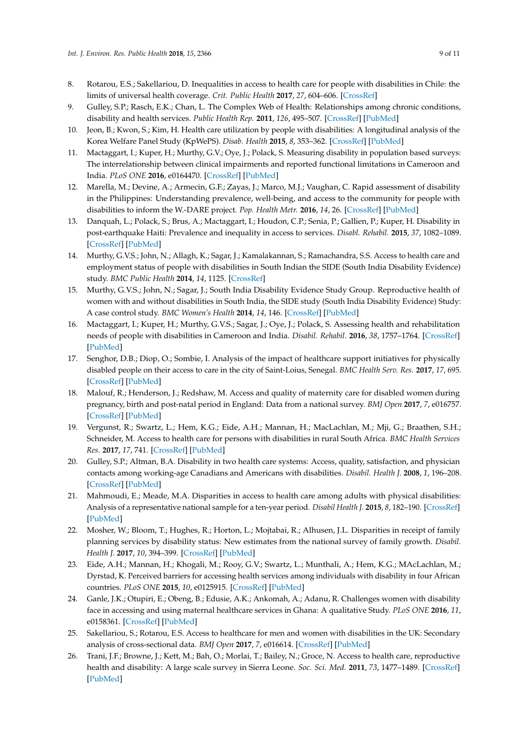- <span id="page-8-13"></span><span id="page-8-0"></span>8. Rotarou, E.S.; Sakellariou, D. Inequalities in access to health care for people with disabilities in Chile: the limits of universal health coverage. *Crit. Public Health* **2017**, *27*, 604–606. [\[CrossRef\]](http://dx.doi.org/10.1080/09581596.2016.1275524)
- <span id="page-8-15"></span>9. Gulley, S.P.; Rasch, E.K.; Chan, L. The Complex Web of Health: Relationships among chronic conditions, disability and health services. *Public Health Rep.* **2011**, *126*, 495–507. [\[CrossRef\]](http://dx.doi.org/10.1177/003335491112600406) [\[PubMed\]](http://www.ncbi.nlm.nih.gov/pubmed/21800744)
- <span id="page-8-9"></span>10. Jeon, B.; Kwon, S.; Kim, H. Health care utilization by people with disabilities: A longitudinal analysis of the Korea Welfare Panel Study (KpWePS). *Disab. Health* **2015**, *8*, 353–362. [\[CrossRef\]](http://dx.doi.org/10.1016/j.dhjo.2015.01.001) [\[PubMed\]](http://www.ncbi.nlm.nih.gov/pubmed/25812476)
- <span id="page-8-8"></span>11. Mactaggart, I.; Kuper, H.; Murthy, G.V.; Oye, J.; Polack, S. Measuring disability in population based surveys: The interrelationship between clinical impairments and reported functional limitations in Cameroon and India. *PLoS ONE* **2016**, e0164470. [\[CrossRef\]](http://dx.doi.org/10.1371/journal.pone.0164470) [\[PubMed\]](http://www.ncbi.nlm.nih.gov/pubmed/27741320)
- 12. Marella, M.; Devine, A.; Armecin, G.F.; Zayas, J.; Marco, M.J.; Vaughan, C. Rapid assessment of disability in the Philippines: Understanding prevalence, well-being, and access to the community for people with disabilities to inform the W.-DARE project. *Pop. Health Metr.* **2016**, *14*, 26. [\[CrossRef\]](http://dx.doi.org/10.1186/s12963-016-0096-y) [\[PubMed\]](http://www.ncbi.nlm.nih.gov/pubmed/27489509)
- <span id="page-8-2"></span>13. Danquah, L.; Polack, S.; Brus, A.; Mactaggart, I.; Houdon, C.P.; Senia, P.; Gallien, P.; Kuper, H. Disability in post-earthquake Haiti: Prevalence and inequality in access to services. *Disabl. Rehabil.* **2015**, *37*, 1082–1089. [\[CrossRef\]](http://dx.doi.org/10.3109/09638288.2014.956186) [\[PubMed\]](http://www.ncbi.nlm.nih.gov/pubmed/25178862)
- <span id="page-8-3"></span>14. Murthy, G.V.S.; John, N.; Allagh, K.; Sagar, J.; Kamalakannan, S.; Ramachandra, S.S. Access to health care and employment status of people with disabilities in South Indian the SIDE (South India Disability Evidence) study. *BMC Public Health* **2014**, *14*, 1125. [\[CrossRef\]](http://dx.doi.org/10.1186/1471-2458-14-1125)
- <span id="page-8-1"></span>15. Murthy, G.V.S.; John, N.; Sagar, J.; South India Disability Evidence Study Group. Reproductive health of women with and without disabilities in South India, the SIDE study (South India Disability Evidence) Study: A case control study. *BMC Women's Health* **2014**, *14*, 146. [\[CrossRef\]](http://dx.doi.org/10.1186/s12905-014-0146-1) [\[PubMed\]](http://www.ncbi.nlm.nih.gov/pubmed/25927587)
- <span id="page-8-4"></span>16. Mactaggart, I.; Kuper, H.; Murthy, G.V.S.; Sagar, J.; Oye, J.; Polack, S. Assessing health and rehabilitation needs of people with disabilities in Cameroon and India. *Disabil. Rehabil.* **2016**, *38*, 1757–1764. [\[CrossRef\]](http://dx.doi.org/10.3109/09638288.2015.1107765) [\[PubMed\]](http://www.ncbi.nlm.nih.gov/pubmed/26680511)
- <span id="page-8-12"></span>17. Senghor, D.B.; Diop, O.; Sombie, I. Analysis of the impact of healthcare support initiatives for physically disabled people on their access to care in the city of Saint-Loius, Senegal. *BMC Health Serv. Res.* **2017**, *17*, 695. [\[CrossRef\]](http://dx.doi.org/10.1186/s12913-017-2644-y) [\[PubMed\]](http://www.ncbi.nlm.nih.gov/pubmed/29219097)
- <span id="page-8-14"></span>18. Malouf, R.; Henderson, J.; Redshaw, M. Access and quality of maternity care for disabled women during pregnancy, birth and post-natal period in England: Data from a national survey. *BMJ Open* **2017**, *7*, e016757. [\[CrossRef\]](http://dx.doi.org/10.1136/bmjopen-2017-016757) [\[PubMed\]](http://www.ncbi.nlm.nih.gov/pubmed/28729324)
- <span id="page-8-11"></span>19. Vergunst, R.; Swartz, L.; Hem, K.G.; Eide, A.H.; Mannan, H.; MacLachlan, M.; Mji, G.; Braathen, S.H.; Schneider, M. Access to health care for persons with disabilities in rural South Africa. *BMC Health Services Res.* **2017**, *17*, 741. [\[CrossRef\]](http://dx.doi.org/10.1186/s12913-017-2674-5) [\[PubMed\]](http://www.ncbi.nlm.nih.gov/pubmed/29149852)
- 20. Gulley, S.P.; Altman, B.A. Disability in two health care systems: Access, quality, satisfaction, and physician contacts among working-age Canadians and Americans with disabilities. *Disabil. Health J.* **2008**, *1*, 196–208. [\[CrossRef\]](http://dx.doi.org/10.1016/j.dhjo.2008.07.006) [\[PubMed\]](http://www.ncbi.nlm.nih.gov/pubmed/21122730)
- <span id="page-8-7"></span>21. Mahmoudi, E.; Meade, M.A. Disparities in access to health care among adults with physical disabilities: Analysis of a representative national sample for a ten-year period. *Disabil Health J.* **2015**, *8*, 182–190. [\[CrossRef\]](http://dx.doi.org/10.1016/j.dhjo.2014.08.007) [\[PubMed\]](http://www.ncbi.nlm.nih.gov/pubmed/25263459)
- <span id="page-8-6"></span>22. Mosher, W.; Bloom, T.; Hughes, R.; Horton, L.; Mojtabai, R.; Alhusen, J.L. Disparities in receipt of family planning services by disability status: New estimates from the national survey of family growth. *Disabil. Health J.* **2017**, *10*, 394–399. [\[CrossRef\]](http://dx.doi.org/10.1016/j.dhjo.2017.03.014) [\[PubMed\]](http://www.ncbi.nlm.nih.gov/pubmed/28395910)
- <span id="page-8-10"></span>23. Eide, A.H.; Mannan, H.; Khogali, M.; Rooy, G.V.; Swartz, L.; Munthali, A.; Hem, K.G.; MAcLachlan, M.; Dyrstad, K. Perceived barriers for accessing health services among individuals with disability in four African countries. *PLoS ONE* **2015**, *10*, e0125915. [\[CrossRef\]](http://dx.doi.org/10.1371/journal.pone.0125915) [\[PubMed\]](http://www.ncbi.nlm.nih.gov/pubmed/25993307)
- 24. Ganle, J.K.; Otupiri, E.; Obeng, B.; Edusie, A.K.; Ankomah, A.; Adanu, R. Challenges women with disability face in accessing and using maternal healthcare services in Ghana: A qualitative Study. *PLoS ONE* **2016**, *11*, e0158361. [\[CrossRef\]](http://dx.doi.org/10.1371/journal.pone.0158361) [\[PubMed\]](http://www.ncbi.nlm.nih.gov/pubmed/27347880)
- 25. Sakellariou, S.; Rotarou, E.S. Access to healthcare for men and women with disabilities in the UK: Secondary analysis of cross-sectional data. *BMJ Open* **2017**, *7*, e016614. [\[CrossRef\]](http://dx.doi.org/10.1136/bmjopen-2017-016614) [\[PubMed\]](http://www.ncbi.nlm.nih.gov/pubmed/28893735)
- <span id="page-8-5"></span>26. Trani, J.F.; Browne, J.; Kett, M.; Bah, O.; Morlai, T.; Bailey, N.; Groce, N. Access to health care, reproductive health and disability: A large scale survey in Sierra Leone. *Soc. Sci. Med.* **2011**, *73*, 1477–1489. [\[CrossRef\]](http://dx.doi.org/10.1016/j.socscimed.2011.08.040) [\[PubMed\]](http://www.ncbi.nlm.nih.gov/pubmed/22014873)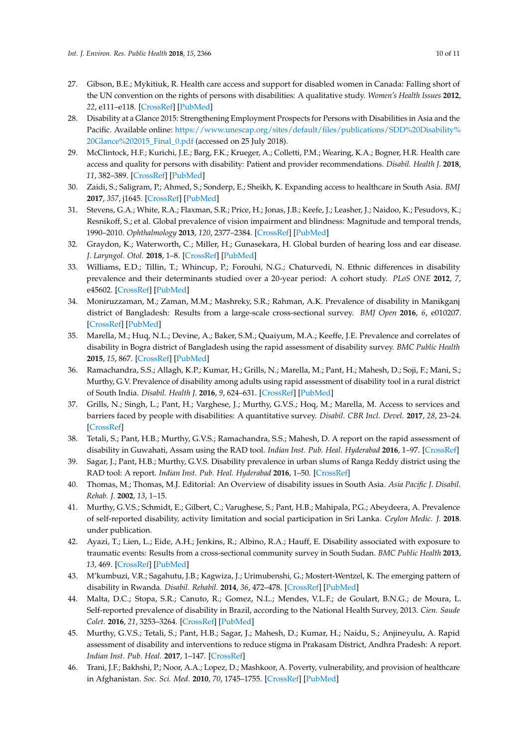- <span id="page-9-0"></span>27. Gibson, B.E.; Mykitiuk, R. Health care access and support for disabled women in Canada: Falling short of the UN convention on the rights of persons with disabilities: A qualitative study. *Women's Health Issues* **2012**, *22*, e111–e118. [\[CrossRef\]](http://dx.doi.org/10.1016/j.whi.2011.07.011) [\[PubMed\]](http://www.ncbi.nlm.nih.gov/pubmed/21968028)
- <span id="page-9-1"></span>28. Disability at a Glance 2015: Strengthening Employment Prospects for Persons with Disabilities in Asia and the Pacific. Available online: [https://www.unescap.org/sites/default/files/publications/SDD%20Disability%](https://www.unescap.org/sites/default/files/publications/SDD%20Disability%20Glance%202015_Final_0.pdf) [20Glance%202015\\_Final\\_0.pdf](https://www.unescap.org/sites/default/files/publications/SDD%20Disability%20Glance%202015_Final_0.pdf) (accessed on 25 July 2018).
- <span id="page-9-19"></span><span id="page-9-2"></span>29. McClintock, H.F.; Kurichi, J.E.; Barg, F.K.; Krueger, A.; Colletti, P.M.; Wearing, K.A.; Bogner, H.R. Health care access and quality for persons with disability: Patient and provider recommendations. *Disabil. Health J.* **2018**, *11*, 382–389. [\[CrossRef\]](http://dx.doi.org/10.1016/j.dhjo.2017.12.010) [\[PubMed\]](http://www.ncbi.nlm.nih.gov/pubmed/29325927)
- <span id="page-9-3"></span>30. Zaidi, S.; Saligram, P.; Ahmed, S.; Sonderp, E.; Sheikh, K. Expanding access to healthcare in South Asia. *BMJ* **2017**, *357*, j1645. [\[CrossRef\]](http://dx.doi.org/10.1136/bmj.j1645) [\[PubMed\]](http://www.ncbi.nlm.nih.gov/pubmed/28400377)
- <span id="page-9-20"></span><span id="page-9-4"></span>31. Stevens, G.A.; White, R.A.; Flaxman, S.R.; Price, H.; Jonas, J.B.; Keefe, J.; Leasher, J.; Naidoo, K.; Pesudovs, K.; Resnikoff, S.; et al. Global prevalence of vision impairment and blindness: Magnitude and temporal trends, 1990–2010. *Ophthalmology* **2013**, *120*, 2377–2384. [\[CrossRef\]](http://dx.doi.org/10.1016/j.ophtha.2013.05.025) [\[PubMed\]](http://www.ncbi.nlm.nih.gov/pubmed/23850093)
- <span id="page-9-5"></span>32. Graydon, K.; Waterworth, C.; Miller, H.; Gunasekara, H. Global burden of hearing loss and ear disease. *J. Laryngol. Otol.* **2018**, 1–8. [\[CrossRef\]](http://dx.doi.org/10.1017/S0022215118001275) [\[PubMed\]](http://www.ncbi.nlm.nih.gov/pubmed/30047343)
- <span id="page-9-6"></span>33. Williams, E.D.; Tillin, T.; Whincup, P.; Forouhi, N.G.; Chaturvedi, N. Ethnic differences in disability prevalence and their determinants studied over a 20-year period: A cohort study. *PLoS ONE* **2012**, *7*, e45602. [\[CrossRef\]](http://dx.doi.org/10.1371/journal.pone.0045602) [\[PubMed\]](http://www.ncbi.nlm.nih.gov/pubmed/23029128)
- <span id="page-9-7"></span>34. Moniruzzaman, M.; Zaman, M.M.; Mashreky, S.R.; Rahman, A.K. Prevalence of disability in Manikganj district of Bangladesh: Results from a large-scale cross-sectional survey. *BMJ Open* **2016**, *6*, e010207. [\[CrossRef\]](http://dx.doi.org/10.1136/bmjopen-2015-010207) [\[PubMed\]](http://www.ncbi.nlm.nih.gov/pubmed/27431897)
- <span id="page-9-8"></span>35. Marella, M.; Huq, N.L.; Devine, A.; Baker, S.M.; Quaiyum, M.A.; Keeffe, J.E. Prevalence and correlates of disability in Bogra district of Bangladesh using the rapid assessment of disability survey. *BMC Public Health* **2015**, *15*, 867. [\[CrossRef\]](http://dx.doi.org/10.1186/s12889-015-2202-7) [\[PubMed\]](http://www.ncbi.nlm.nih.gov/pubmed/26346063)
- <span id="page-9-9"></span>36. Ramachandra, S.S.; Allagh, K.P.; Kumar, H.; Grills, N.; Marella, M.; Pant, H.; Mahesh, D.; Soji, F.; Mani, S.; Murthy, G.V. Prevalence of disability among adults using rapid assessment of disability tool in a rural district of South India. *Disabil. Health J.* **2016**, *9*, 624–631. [\[CrossRef\]](http://dx.doi.org/10.1016/j.dhjo.2016.05.010) [\[PubMed\]](http://www.ncbi.nlm.nih.gov/pubmed/27343046)
- <span id="page-9-10"></span>37. Grills, N.; Singh, L.; Pant, H.; Varghese, J.; Murthy, G.V.S.; Hoq, M.; Marella, M. Access to services and barriers faced by people with disabilities: A quantitative survey. *Disabil. CBR Incl. Devel.* **2017**, *28*, 23–24. [\[CrossRef\]](http://dx.doi.org/10.5463/dcid.v28i2.615)
- <span id="page-9-11"></span>38. Tetali, S.; Pant, H.B.; Murthy, G.V.S.; Ramachandra, S.S.; Mahesh, D. A report on the rapid assessment of disability in Guwahati, Assam using the RAD tool. *Indian Inst. Pub. Heal. Hyderabad* **2016**, 1–97. [\[CrossRef\]](http://dx.doi.org/10.13140/RG.2.2.21851.41761)
- <span id="page-9-12"></span>39. Sagar, J.; Pant, H.B.; Murthy, G.V.S. Disability prevalence in urban slums of Ranga Reddy district using the RAD tool: A report. *Indian Inst. Pub. Heal. Hyderabad* **2016**, 1–50. [\[CrossRef\]](http://dx.doi.org/10.13140/RG.2.2.13882.24008)
- <span id="page-9-13"></span>40. Thomas, M.; Thomas, M.J. Editorial: An Overview of disability issues in South Asia. *Asia Pacific J. Disabil. Rehab. J.* **2002**, *13*, 1–15.
- <span id="page-9-14"></span>41. Murthy, G.V.S.; Schmidt, E.; Gilbert, C.; Varughese, S.; Pant, H.B.; Mahipala, P.G.; Abeydeera, A. Prevalence of self-reported disability, activity limitation and social participation in Sri Lanka. *Ceylon Medic. J.* **2018**. under publication.
- <span id="page-9-15"></span>42. Ayazi, T.; Lien, L.; Eide, A.H.; Jenkins, R.; Albino, R.A.; Hauff, E. Disability associated with exposure to traumatic events: Results from a cross-sectional community survey in South Sudan. *BMC Public Health* **2013**, *13*, 469. [\[CrossRef\]](http://dx.doi.org/10.1186/1471-2458-13-469) [\[PubMed\]](http://www.ncbi.nlm.nih.gov/pubmed/23672785)
- 43. M'kumbuzi, V.R.; Sagahutu, J.B.; Kagwiza, J.; Urimubenshi, G.; Mostert-Wentzel, K. The emerging pattern of disability in Rwanda. *Disabil. Rehabil.* **2014**, *36*, 472–478. [\[CrossRef\]](http://dx.doi.org/10.3109/09638288.2013.798361) [\[PubMed\]](http://www.ncbi.nlm.nih.gov/pubmed/23738617)
- <span id="page-9-16"></span>44. Malta, D.C.; Stopa, S.R.; Canuto, R.; Gomez, N.L.; Mendes, V.L.F.; de Goulart, B.N.G.; de Moura, L. Self-reported prevalence of disability in Brazil, according to the National Health Survey, 2013. *Cien. Saude Colet.* **2016**, *21*, 3253–3264. [\[CrossRef\]](http://dx.doi.org/10.1590/1413-812320152110.17512016) [\[PubMed\]](http://www.ncbi.nlm.nih.gov/pubmed/27783798)
- <span id="page-9-17"></span>45. Murthy, G.V.S.; Tetali, S.; Pant, H.B.; Sagar, J.; Mahesh, D.; Kumar, H.; Naidu, S.; Anjineyulu, A. Rapid assessment of disability and interventions to reduce stigma in Prakasam District, Andhra Pradesh: A report. *Indian Inst. Pub. Heal.* **2017**, 1–147. [\[CrossRef\]](http://dx.doi.org/10.13140/RG.2.2.20593.12644)
- <span id="page-9-18"></span>46. Trani, J.F.; Bakhshi, P.; Noor, A.A.; Lopez, D.; Mashkoor, A. Poverty, vulnerability, and provision of healthcare in Afghanistan. *Soc. Sci. Med.* **2010**, *70*, 1745–1755. [\[CrossRef\]](http://dx.doi.org/10.1016/j.socscimed.2010.02.007) [\[PubMed\]](http://www.ncbi.nlm.nih.gov/pubmed/20359809)